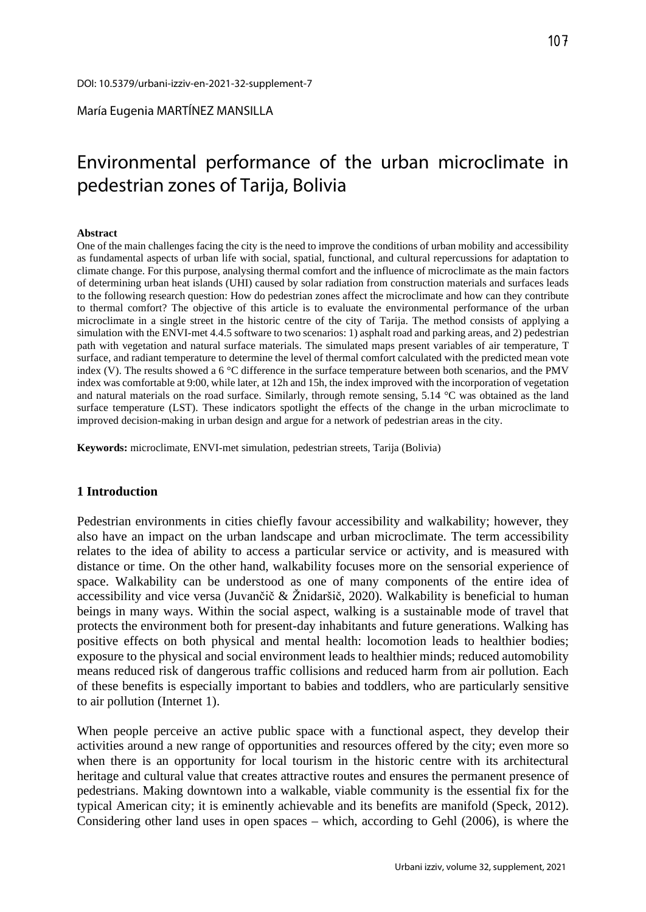María Eugenia MARTÍNEZ MANSILLA

# Environmental performance of the urban microclimate in pedestrian zones of Tarija, Bolivia

#### **Abstract**

One of the main challenges facing the city is the need to improve the conditions of urban mobility and accessibility as fundamental aspects of urban life with social, spatial, functional, and cultural repercussions for adaptation to climate change. For this purpose, analysing thermal comfort and the influence of microclimate as the main factors of determining urban heat islands (UHI) caused by solar radiation from construction materials and surfaces leads to the following research question: How do pedestrian zones affect the microclimate and how can they contribute to thermal comfort? The objective of this article is to evaluate the environmental performance of the urban microclimate in a single street in the historic centre of the city of Tarija. The method consists of applying a simulation with the ENVI-met 4.4.5 software to two scenarios: 1) asphalt road and parking areas, and 2) pedestrian path with vegetation and natural surface materials. The simulated maps present variables of air temperature, T surface, and radiant temperature to determine the level of thermal comfort calculated with the predicted mean vote index (V). The results showed a 6 °C difference in the surface temperature between both scenarios, and the PMV index was comfortable at 9:00, while later, at 12h and 15h, the index improved with the incorporation of vegetation and natural materials on the road surface. Similarly, through remote sensing, 5.14 °C was obtained as the land surface temperature (LST). These indicators spotlight the effects of the change in the urban microclimate to improved decision-making in urban design and argue for a network of pedestrian areas in the city.

**Keywords:** microclimate, ENVI-met simulation, pedestrian streets, Tarija (Bolivia)

#### **1 Introduction**

Pedestrian environments in cities chiefly favour accessibility and walkability; however, they also have an impact on the urban landscape and urban microclimate. The term accessibility relates to the idea of ability to access a particular service or activity, and is measured with distance or time. On the other hand, walkability focuses more on the sensorial experience of space. Walkability can be understood as one of many components of the entire idea of accessibility and vice versa (Juvančič  $\&$  Žnidaršič, 2020). Walkability is beneficial to human beings in many ways. Within the social aspect, walking is a sustainable mode of travel that protects the environment both for present-day inhabitants and future generations. Walking has positive effects on both physical and mental health: locomotion leads to healthier bodies; exposure to the physical and social environment leads to healthier minds; reduced automobility means reduced risk of dangerous traffic collisions and reduced harm from air pollution. Each of these benefits is especially important to babies and toddlers, who are particularly sensitive to air pollution (Internet 1).

When people perceive an active public space with a functional aspect, they develop their activities around a new range of opportunities and resources offered by the city; even more so when there is an opportunity for local tourism in the historic centre with its architectural heritage and cultural value that creates attractive routes and ensures the permanent presence of pedestrians. Making downtown into a walkable, viable community is the essential fix for the typical American city; it is eminently achievable and its benefits are manifold (Speck, 2012). Considering other land uses in open spaces – which, according to Gehl (2006), is where the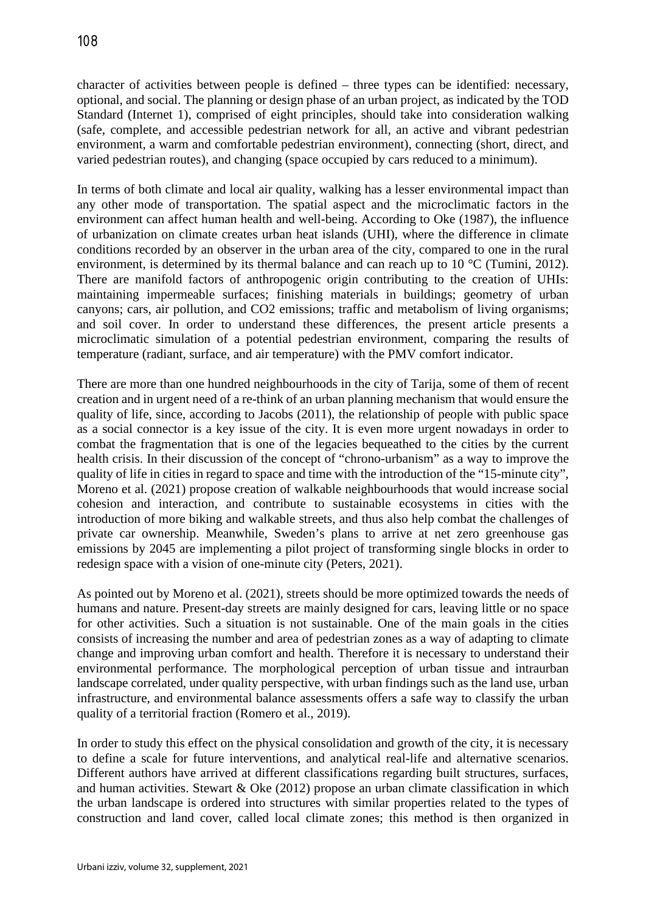character of activities between people is defined – three types can be identified: necessary, optional, and social. The planning or design phase of an urban project, as indicated by the TOD Standard (Internet 1), comprised of eight principles, should take into consideration walking (safe, complete, and accessible pedestrian network for all, an active and vibrant pedestrian environment, a warm and comfortable pedestrian environment), connecting (short, direct, and varied pedestrian routes), and changing (space occupied by cars reduced to a minimum).

In terms of both climate and local air quality, walking has a lesser environmental impact than any other mode of transportation. The spatial aspect and the microclimatic factors in the environment can affect human health and well-being. According to Oke (1987), the influence of urbanization on climate creates urban heat islands (UHI), where the difference in climate conditions recorded by an observer in the urban area of the city, compared to one in the rural environment, is determined by its thermal balance and can reach up to 10 °C (Tumini, 2012). There are manifold factors of anthropogenic origin contributing to the creation of UHIs: maintaining impermeable surfaces; finishing materials in buildings; geometry of urban canyons; cars, air pollution, and CO2 emissions; traffic and metabolism of living organisms; and soil cover. In order to understand these differences, the present article presents a microclimatic simulation of a potential pedestrian environment, comparing the results of temperature (radiant, surface, and air temperature) with the PMV comfort indicator.

There are more than one hundred neighbourhoods in the city of Tarija, some of them of recent creation and in urgent need of a re-think of an urban planning mechanism that would ensure the quality of life, since, according to Jacobs (2011), the relationship of people with public space as a social connector is a key issue of the city. It is even more urgent nowadays in order to combat the fragmentation that is one of the legacies bequeathed to the cities by the current health crisis. In their discussion of the concept of "chrono-urbanism" as a way to improve the quality of life in cities in regard to space and time with the introduction of the "15-minute city", Moreno et al. (2021) propose creation of walkable neighbourhoods that would increase social cohesion and interaction, and contribute to sustainable ecosystems in cities with the introduction of more biking and walkable streets, and thus also help combat the challenges of private car ownership. Meanwhile, Sweden's plans to arrive at net zero greenhouse gas emissions by 2045 are implementing a pilot project of transforming single blocks in order to redesign space with a vision of one-minute city (Peters, 2021).

As pointed out by Moreno et al. (2021), streets should be more optimized towards the needs of humans and nature. Present-day streets are mainly designed for cars, leaving little or no space for other activities. Such a situation is not sustainable. One of the main goals in the cities consists of increasing the number and area of pedestrian zones as a way of adapting to climate change and improving urban comfort and health. Therefore it is necessary to understand their environmental performance. The morphological perception of urban tissue and intraurban landscape correlated, under quality perspective, with urban findings such as the land use, urban infrastructure, and environmental balance assessments offers a safe way to classify the urban quality of a territorial fraction (Romero et al., 2019).

In order to study this effect on the physical consolidation and growth of the city, it is necessary to define a scale for future interventions, and analytical real-life and alternative scenarios. Different authors have arrived at different classifications regarding built structures, surfaces, and human activities. Stewart & Oke (2012) propose an urban climate classification in which the urban landscape is ordered into structures with similar properties related to the types of construction and land cover, called local climate zones; this method is then organized in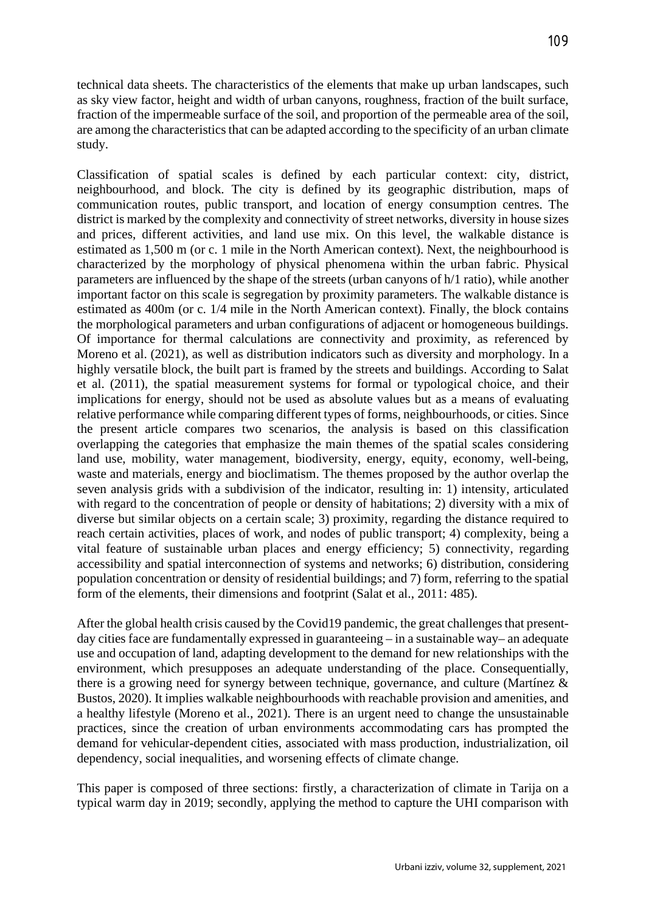technical data sheets. The characteristics of the elements that make up urban landscapes, such as sky view factor, height and width of urban canyons, roughness, fraction of the built surface, fraction of the impermeable surface of the soil, and proportion of the permeable area of the soil, are among the characteristics that can be adapted according to the specificity of an urban climate study.

Classification of spatial scales is defined by each particular context: city, district, neighbourhood, and block. The city is defined by its geographic distribution, maps of communication routes, public transport, and location of energy consumption centres. The district is marked by the complexity and connectivity of street networks, diversity in house sizes and prices, different activities, and land use mix. On this level, the walkable distance is estimated as 1,500 m (or c. 1 mile in the North American context). Next, the neighbourhood is characterized by the morphology of physical phenomena within the urban fabric. Physical parameters are influenced by the shape of the streets (urban canyons of h/1 ratio), while another important factor on this scale is segregation by proximity parameters. The walkable distance is estimated as 400m (or c. 1/4 mile in the North American context). Finally, the block contains the morphological parameters and urban configurations of adjacent or homogeneous buildings. Of importance for thermal calculations are connectivity and proximity, as referenced by Moreno et al. (2021), as well as distribution indicators such as diversity and morphology. In a highly versatile block, the built part is framed by the streets and buildings. According to Salat et al. (2011), the spatial measurement systems for formal or typological choice, and their implications for energy, should not be used as absolute values but as a means of evaluating relative performance while comparing different types of forms, neighbourhoods, or cities. Since the present article compares two scenarios, the analysis is based on this classification overlapping the categories that emphasize the main themes of the spatial scales considering land use, mobility, water management, biodiversity, energy, equity, economy, well-being, waste and materials, energy and bioclimatism. The themes proposed by the author overlap the seven analysis grids with a subdivision of the indicator, resulting in: 1) intensity, articulated with regard to the concentration of people or density of habitations; 2) diversity with a mix of diverse but similar objects on a certain scale; 3) proximity, regarding the distance required to reach certain activities, places of work, and nodes of public transport; 4) complexity, being a vital feature of sustainable urban places and energy efficiency; 5) connectivity, regarding accessibility and spatial interconnection of systems and networks; 6) distribution, considering population concentration or density of residential buildings; and 7) form, referring to the spatial form of the elements, their dimensions and footprint (Salat et al., 2011: 485).

After the global health crisis caused by the Covid19 pandemic, the great challenges that presentday cities face are fundamentally expressed in guaranteeing – in a sustainable way– an adequate use and occupation of land, adapting development to the demand for new relationships with the environment, which presupposes an adequate understanding of the place. Consequentially, there is a growing need for synergy between technique, governance, and culture (Martínez & Bustos, 2020). It implies walkable neighbourhoods with reachable provision and amenities, and a healthy lifestyle (Moreno et al., 2021). There is an urgent need to change the unsustainable practices, since the creation of urban environments accommodating cars has prompted the demand for vehicular-dependent cities, associated with mass production, industrialization, oil dependency, social inequalities, and worsening effects of climate change.

This paper is composed of three sections: firstly, a characterization of climate in Tarija on a typical warm day in 2019; secondly, applying the method to capture the UHI comparison with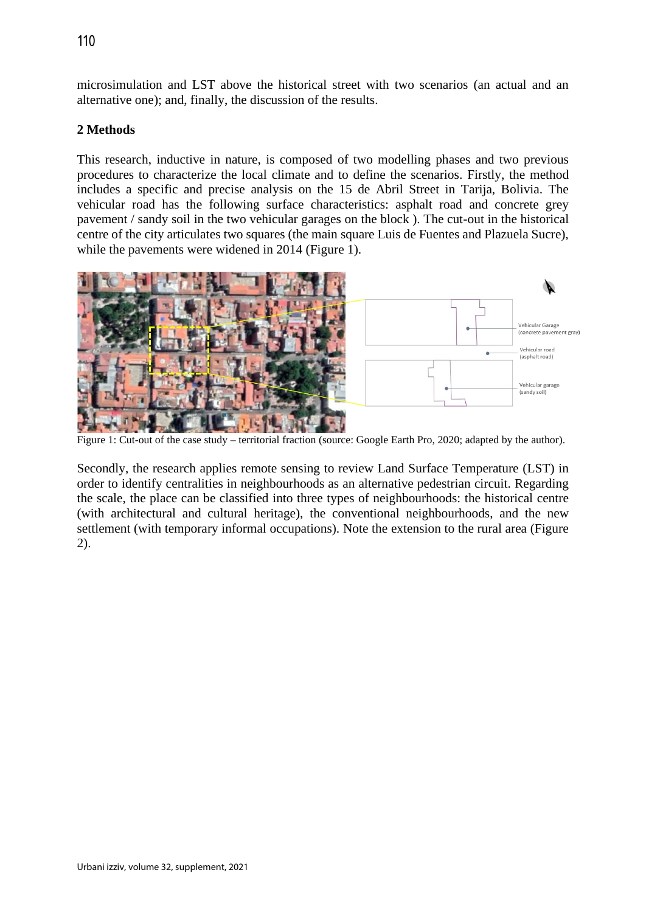microsimulation and LST above the historical street with two scenarios (an actual and an alternative one); and, finally, the discussion of the results.

## **2 Methods**

This research, inductive in nature, is composed of two modelling phases and two previous procedures to characterize the local climate and to define the scenarios. Firstly, the method includes a specific and precise analysis on the 15 de Abril Street in Tarija, Bolivia. The vehicular road has the following surface characteristics: asphalt road and concrete grey pavement / sandy soil in the two vehicular garages on the block ). The cut-out in the historical centre of the city articulates two squares (the main square Luis de Fuentes and Plazuela Sucre), while the pavements were widened in 2014 (Figure 1).



Figure 1: Cut-out of the case study – territorial fraction (source: Google Earth Pro, 2020; adapted by the author).

Secondly, the research applies remote sensing to review Land Surface Temperature (LST) in order to identify centralities in neighbourhoods as an alternative pedestrian circuit. Regarding the scale, the place can be classified into three types of neighbourhoods: the historical centre (with architectural and cultural heritage), the conventional neighbourhoods, and the new settlement (with temporary informal occupations). Note the extension to the rural area (Figure 2).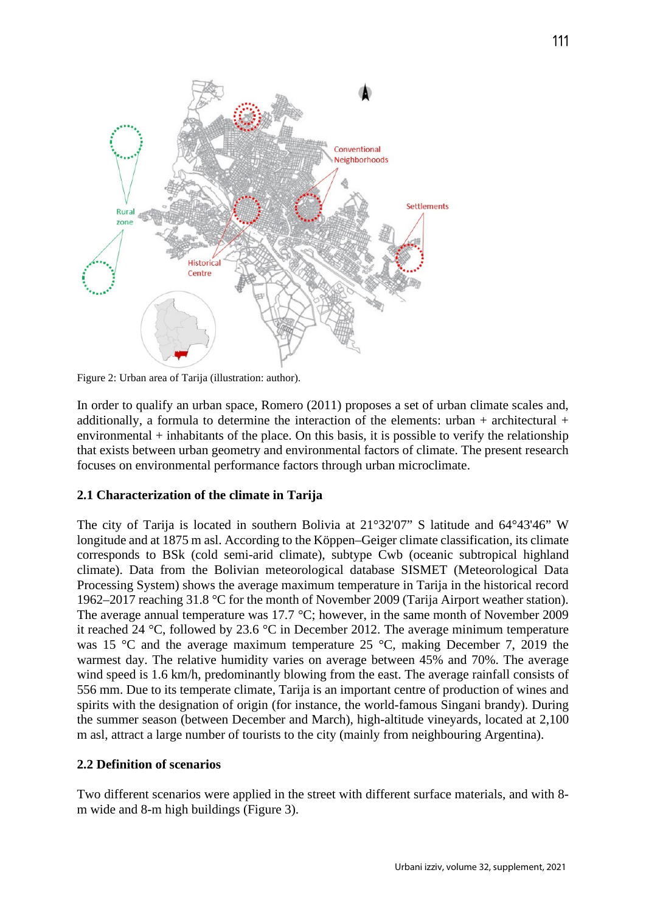

Figure 2: Urban area of Tarija (illustration: author).

In order to qualify an urban space, Romero (2011) proposes a set of urban climate scales and, additionally, a formula to determine the interaction of the elements: urban + architectural + environmental + inhabitants of the place. On this basis, it is possible to verify the relationship that exists between urban geometry and environmental factors of climate. The present research focuses on environmental performance factors through urban microclimate.

#### **2.1 Characterization of the climate in Tarija**

The city of Tarija is located in southern Bolivia at 21°32'07" S latitude and 64°43'46" W longitude and at 1875 m asl. According to the Köppen–Geiger climate classification, its climate corresponds to BSk (cold semi-arid climate), subtype Cwb (oceanic subtropical highland climate). Data from the Bolivian meteorological database SISMET (Meteorological Data Processing System) shows the average maximum temperature in Tarija in the historical record 1962–2017 reaching 31.8 °C for the month of November 2009 (Tarija Airport weather station). The average annual temperature was 17.7 °C; however, in the same month of November 2009 it reached 24 °C, followed by 23.6 °C in December 2012. The average minimum temperature was 15 °C and the average maximum temperature 25 °C, making December 7, 2019 the warmest day. The relative humidity varies on average between 45% and 70%. The average wind speed is 1.6 km/h, predominantly blowing from the east. The average rainfall consists of 556 mm. Due to its temperate climate, Tarija is an important centre of production of wines and spirits with the designation of origin (for instance, the world-famous Singani brandy). During the summer season (between December and March), high-altitude vineyards, located at 2,100 m asl, attract a large number of tourists to the city (mainly from neighbouring Argentina).

#### **2.2 Definition of scenarios**

Two different scenarios were applied in the street with different surface materials, and with 8 m wide and 8-m high buildings (Figure 3).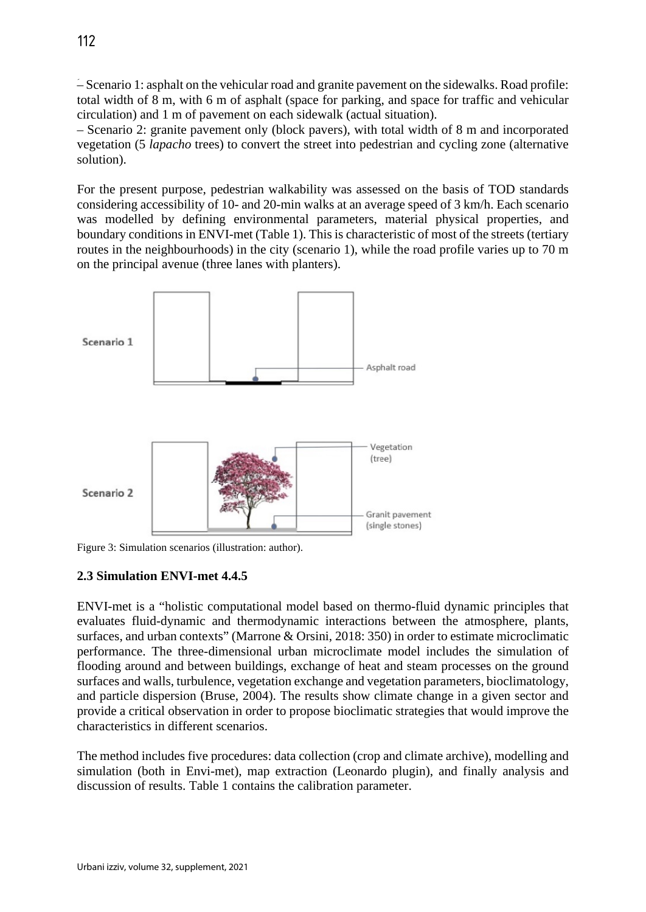ؘ– Scenario 1: asphalt on the vehicular road and granite pavement on the sidewalks. Road profile: total width of 8 m, with 6 m of asphalt (space for parking, and space for traffic and vehicular circulation) and 1 m of pavement on each sidewalk (actual situation).

– Scenario 2: granite pavement only (block pavers), with total width of 8 m and incorporated vegetation (5 *lapacho* trees) to convert the street into pedestrian and cycling zone (alternative solution).

For the present purpose, pedestrian walkability was assessed on the basis of TOD standards considering accessibility of 10- and 20-min walks at an average speed of 3 km/h. Each scenario was modelled by defining environmental parameters, material physical properties, and boundary conditions in ENVI-met (Table 1). This is characteristic of most of the streets (tertiary routes in the neighbourhoods) in the city (scenario 1), while the road profile varies up to 70 m on the principal avenue (three lanes with planters).



Figure 3: Simulation scenarios (illustration: author).

# **2.3 Simulation ENVI-met 4.4.5**

ENVI-met is a "holistic computational model based on thermo-fluid dynamic principles that evaluates fluid-dynamic and thermodynamic interactions between the atmosphere, plants, surfaces, and urban contexts" (Marrone & Orsini, 2018: 350) in order to estimate microclimatic performance. The three-dimensional urban microclimate model includes the simulation of flooding around and between buildings, exchange of heat and steam processes on the ground surfaces and walls, turbulence, vegetation exchange and vegetation parameters, bioclimatology, and particle dispersion (Bruse, 2004). The results show climate change in a given sector and provide a critical observation in order to propose bioclimatic strategies that would improve the characteristics in different scenarios.

The method includes five procedures: data collection (crop and climate archive), modelling and simulation (both in Envi-met), map extraction (Leonardo plugin), and finally analysis and discussion of results. Table 1 contains the calibration parameter.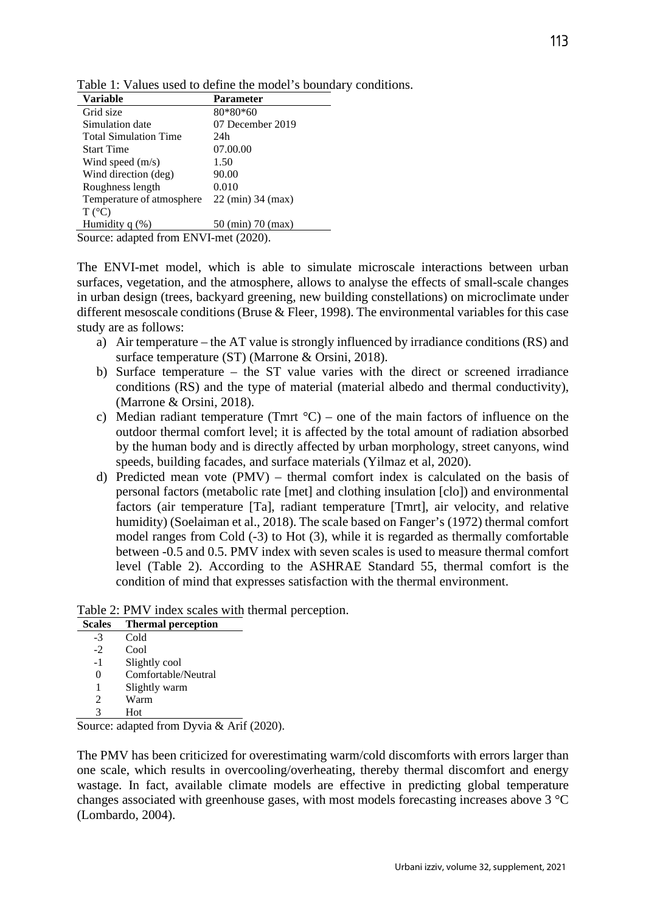| <b>Parameter</b> |  |  |
|------------------|--|--|
|                  |  |  |
|                  |  |  |
|                  |  |  |
|                  |  |  |
|                  |  |  |
|                  |  |  |
|                  |  |  |
|                  |  |  |
|                  |  |  |

Table 1: Values used to define the model's boundary conditions.

Source: adapted from ENVI-met (2020).

Humidity  $q$  (%) 50 (min) 70 (max)

 $T (^{\circ}C)$ 

The ENVI-met model, which is able to simulate microscale interactions between urban surfaces, vegetation, and the atmosphere, allows to analyse the effects of small-scale changes in urban design (trees, backyard greening, new building constellations) on microclimate under different mesoscale conditions (Bruse & Fleer, 1998). The environmental variables for this case study are as follows:

- a) Air temperature the AT value is strongly influenced by irradiance conditions (RS) and surface temperature (ST) (Marrone & Orsini, 2018).
- b) Surface temperature the ST value varies with the direct or screened irradiance conditions (RS) and the type of material (material albedo and thermal conductivity), (Marrone & Orsini, 2018).
- c) Median radiant temperature (Tmrt  $^{\circ}$ C) one of the main factors of influence on the outdoor thermal comfort level; it is affected by the total amount of radiation absorbed by the human body and is directly affected by urban morphology, street canyons, wind speeds, building facades, and surface materials (Yilmaz et al, 2020).
- d) Predicted mean vote (PMV) thermal comfort index is calculated on the basis of personal factors (metabolic rate [met] and clothing insulation [clo]) and environmental factors (air temperature [Ta], radiant temperature [Tmrt], air velocity, and relative humidity) (Soelaiman et al., 2018). The scale based on Fanger's (1972) thermal comfort model ranges from Cold (-3) to Hot (3), while it is regarded as thermally comfortable between -0.5 and 0.5. PMV index with seven scales is used to measure thermal comfort level (Table 2). According to the ASHRAE Standard 55, thermal comfort is the condition of mind that expresses satisfaction with the thermal environment.

Table 2: PMV index scales with thermal perception.

| <b>Scales</b>  | <b>Thermal perception</b>                                                              |
|----------------|----------------------------------------------------------------------------------------|
| -3             | Cold                                                                                   |
| $-2$           | Cool                                                                                   |
| -1             | Slightly cool                                                                          |
| 0              | Comfortable/Neutral                                                                    |
| 1              | Slightly warm                                                                          |
| $\mathfrak{D}$ | Warm                                                                                   |
| 3              | Hot                                                                                    |
|                | $\mathcal{S}_{\mathbf{O}^{11}}$ ree adanted from Dyvia $\mathcal{S}_{\mathbf{O}^{11}}$ |

Source: adapted from Dyvia & Arif (2020).

The PMV has been criticized for overestimating warm/cold discomforts with errors larger than one scale, which results in overcooling/overheating, thereby thermal discomfort and energy wastage. In fact, available climate models are effective in predicting global temperature changes associated with greenhouse gases, with most models forecasting increases above 3 °C (Lombardo, 2004).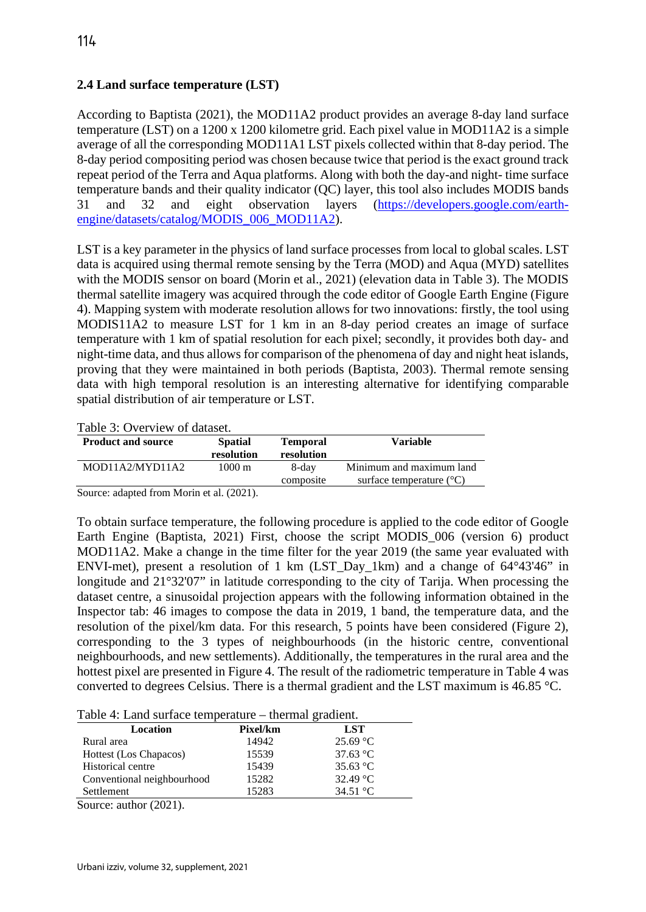# **2.4 Land surface temperature (LST)**

According to Baptista (2021), the MOD11A2 product provides an average 8-day land surface temperature (LST) on a 1200 x 1200 kilometre grid. Each pixel value in MOD11A2 is a simple average of all the corresponding MOD11A1 LST pixels collected within that 8-day period. The 8-day period compositing period was chosen because twice that period is the exact ground track repeat period of the Terra and Aqua platforms. Along with both the day-and night- time surface temperature bands and their quality indicator (QC) layer, this tool also includes MODIS bands 31 and 32 and eight observation layers [\(https://developers.google.com/earth](https://developers.google.com/earth-engine/datasets/catalog/MODIS_006_MOD11A2)[engine/datasets/catalog/MODIS\\_006\\_MOD11A2\)](https://developers.google.com/earth-engine/datasets/catalog/MODIS_006_MOD11A2).

LST is a key parameter in the physics of land surface processes from local to global scales. LST data is acquired using thermal remote sensing by the Terra (MOD) and Aqua (MYD) satellites with the MODIS sensor on board (Morin et al., 2021) (elevation data in Table 3). The MODIS thermal satellite imagery was acquired through the code editor of Google Earth Engine (Figure 4). Mapping system with moderate resolution allows for two innovations: firstly, the tool using MODIS11A2 to measure LST for 1 km in an 8-day period creates an image of surface temperature with 1 km of spatial resolution for each pixel; secondly, it provides both day- and night-time data, and thus allows for comparison of the phenomena of day and night heat islands, proving that they were maintained in both periods (Baptista, 2003). Thermal remote sensing data with high temporal resolution is an interesting alternative for identifying comparable spatial distribution of air temperature or LST.

## Table 3: Overview of dataset.

| <b>Product and source</b> | <b>Spatial</b><br>resolution | <b>Temporal</b><br>resolution | Variable                                                      |
|---------------------------|------------------------------|-------------------------------|---------------------------------------------------------------|
| MOD11A2/MYD11A2           | $1000 \,\mathrm{m}$          | 8-day<br>composite            | Minimum and maximum land<br>surface temperature $(^{\circ}C)$ |

Source: adapted from Morin et al. (2021).

To obtain surface temperature, the following procedure is applied to the code editor of Google Earth Engine (Baptista, 2021) First, choose the script MODIS\_006 (version 6) product MOD11A2. Make a change in the time filter for the year 2019 (the same year evaluated with ENVI-met), present a resolution of 1 km (LST\_Day\_1km) and a change of 64°43'46" in longitude and 21°32'07" in latitude corresponding to the city of Tarija. When processing the dataset centre, a sinusoidal projection appears with the following information obtained in the Inspector tab: 46 images to compose the data in 2019, 1 band, the temperature data, and the resolution of the pixel/km data. For this research, 5 points have been considered (Figure 2), corresponding to the 3 types of neighbourhoods (in the historic centre, conventional neighbourhoods, and new settlements). Additionally, the temperatures in the rural area and the hottest pixel are presented in Figure 4. The result of the radiometric temperature in Table 4 was converted to degrees Celsius. There is a thermal gradient and the LST maximum is 46.85 °C.

| Table 4: Land surface temperature – thermal gradient. |  |  |
|-------------------------------------------------------|--|--|
|                                                       |  |  |

| Location                   | Pixel/km | <b>LST</b>         |  |
|----------------------------|----------|--------------------|--|
| Rural area                 | 14942    | 25.69 °C           |  |
| Hottest (Los Chapacos)     | 15539    | 37.63 $^{\circ}$ C |  |
| Historical centre          | 15439    | 35.63 $^{\circ}$ C |  |
| Conventional neighbourhood | 15282    | 32.49 °C           |  |
| Settlement                 | 15283    | 34.51 °C           |  |
|                            |          |                    |  |

Source: author (2021).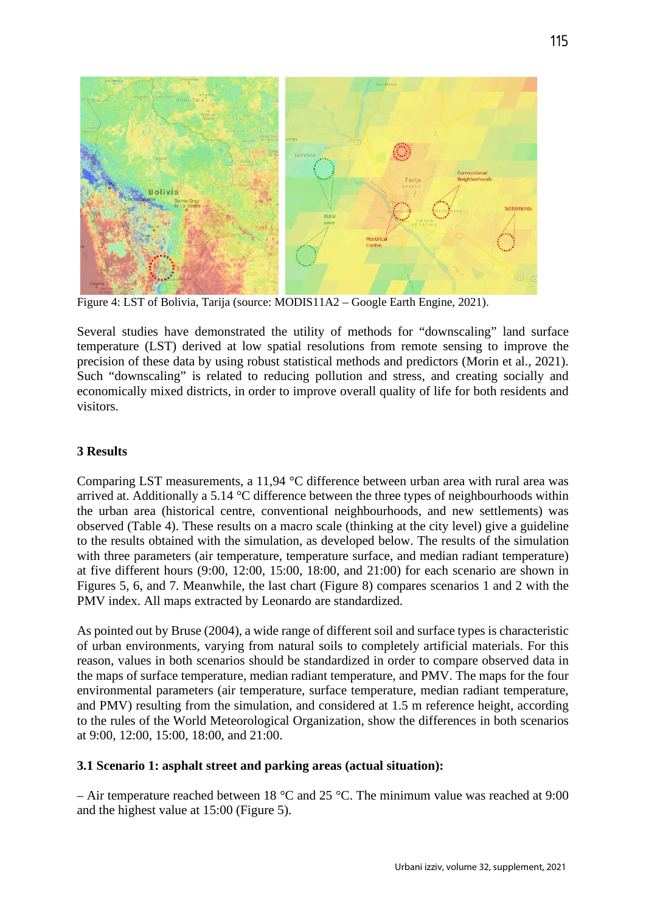

Figure 4: LST of Bolivia, Tarija (source: MODIS11A2 – Google Earth Engine, 2021).

Several studies have demonstrated the utility of methods for "downscaling" land surface temperature (LST) derived at low spatial resolutions from remote sensing to improve the precision of these data by using robust statistical methods and predictors (Morin et al., 2021). Such "downscaling" is related to reducing pollution and stress, and creating socially and economically mixed districts, in order to improve overall quality of life for both residents and visitors.

### **3 Results**

Comparing LST measurements, a 11,94 °C difference between urban area with rural area was arrived at. Additionally a 5.14 °C difference between the three types of neighbourhoods within the urban area (historical centre, conventional neighbourhoods, and new settlements) was observed (Table 4). These results on a macro scale (thinking at the city level) give a guideline to the results obtained with the simulation, as developed below. The results of the simulation with three parameters (air temperature, temperature surface, and median radiant temperature) at five different hours (9:00, 12:00, 15:00, 18:00, and 21:00) for each scenario are shown in Figures 5, 6, and 7. Meanwhile, the last chart (Figure 8) compares scenarios 1 and 2 with the PMV index. All maps extracted by Leonardo are standardized.

As pointed out by Bruse (2004), a wide range of different soil and surface types is characteristic of urban environments, varying from natural soils to completely artificial materials. For this reason, values in both scenarios should be standardized in order to compare observed data in the maps of surface temperature, median radiant temperature, and PMV. The maps for the four environmental parameters (air temperature, surface temperature, median radiant temperature, and PMV) resulting from the simulation, and considered at 1.5 m reference height, according to the rules of the World Meteorological Organization, show the differences in both scenarios at 9:00, 12:00, 15:00, 18:00, and 21:00.

## **3.1 Scenario 1: asphalt street and parking areas (actual situation):**

– Air temperature reached between 18 °C and 25 °C. The minimum value was reached at 9:00 and the highest value at 15:00 (Figure 5).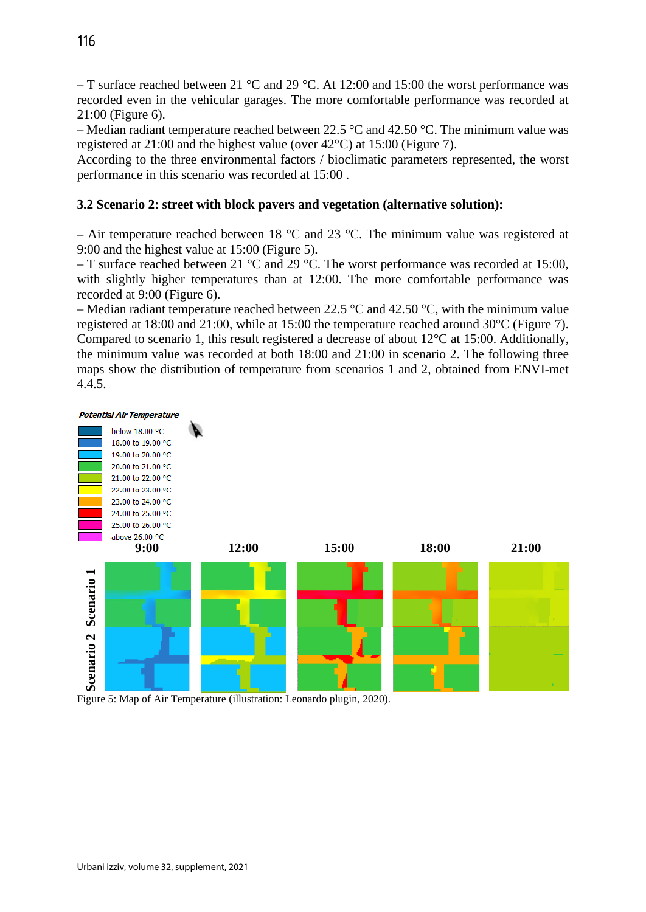– T surface reached between 21 °C and 29 °C. At 12:00 and 15:00 the worst performance was recorded even in the vehicular garages. The more comfortable performance was recorded at 21:00 (Figure 6).

– Median radiant temperature reached between 22.5 °C and 42.50 °C. The minimum value was registered at 21:00 and the highest value (over 42°C) at 15:00 (Figure 7).

According to the three environmental factors / bioclimatic parameters represented, the worst performance in this scenario was recorded at 15:00 .

## **3.2 Scenario 2: street with block pavers and vegetation (alternative solution):**

– Air temperature reached between 18  $^{\circ}$ C and 23  $^{\circ}$ C. The minimum value was registered at 9:00 and the highest value at 15:00 (Figure 5).

– T surface reached between 21 °C and 29 °C. The worst performance was recorded at 15:00, with slightly higher temperatures than at 12:00. The more comfortable performance was recorded at 9:00 (Figure 6).

– Median radiant temperature reached between 22.5  $\degree$ C and 42.50  $\degree$ C, with the minimum value registered at 18:00 and 21:00, while at 15:00 the temperature reached around 30°C (Figure 7). Compared to scenario 1, this result registered a decrease of about 12°C at 15:00. Additionally, the minimum value was recorded at both 18:00 and 21:00 in scenario 2. The following three maps show the distribution of temperature from scenarios 1 and 2, obtained from ENVI-met 4.4.5.



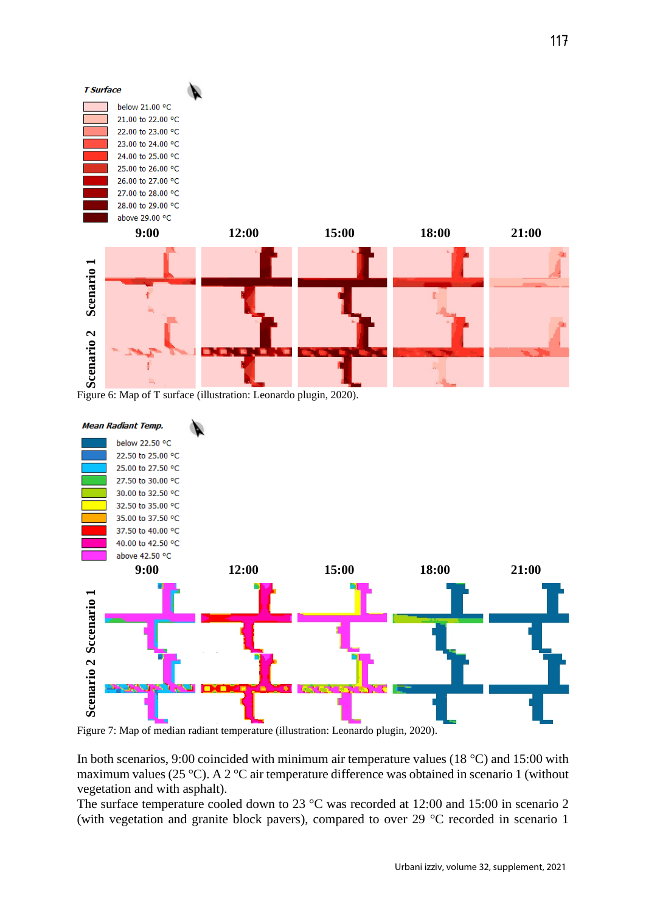

Figure 6: Map of T surface (illustration: Leonardo plugin, 2020).



Figure 7: Map of median radiant temperature (illustration: Leonardo plugin, 2020).

In both scenarios, 9:00 coincided with minimum air temperature values (18 °C) and 15:00 with maximum values (25 °C). A 2 °C air temperature difference was obtained in scenario 1 (without vegetation and with asphalt).

The surface temperature cooled down to 23 °C was recorded at 12:00 and 15:00 in scenario 2 (with vegetation and granite block pavers), compared to over 29 °C recorded in scenario 1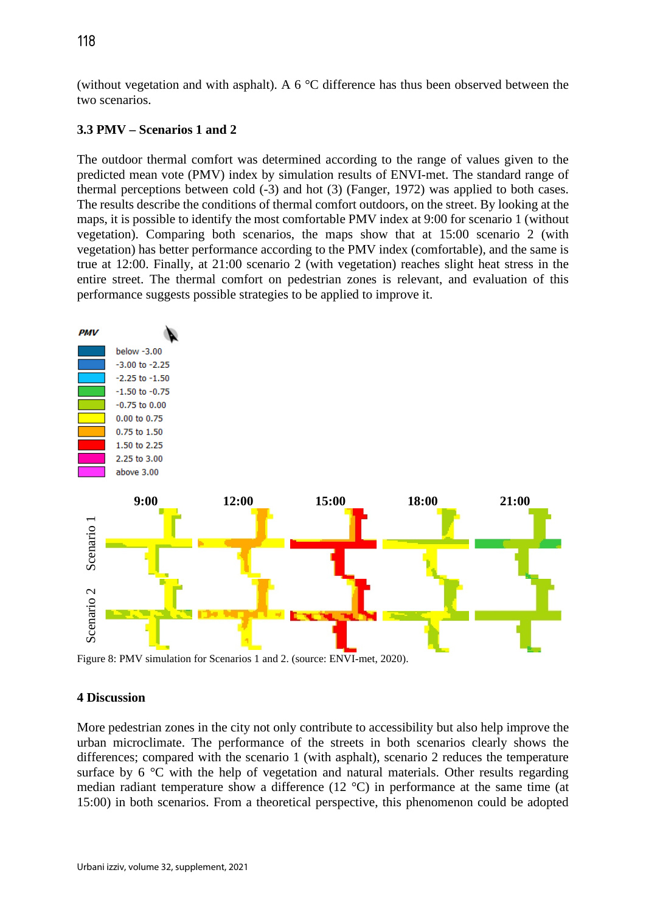(without vegetation and with asphalt). A 6 °C difference has thus been observed between the two scenarios.

#### **3.3 PMV – Scenarios 1 and 2**

The outdoor thermal comfort was determined according to the range of values given to the predicted mean vote (PMV) index by simulation results of ENVI-met. The standard range of thermal perceptions between cold (-3) and hot (3) (Fanger, 1972) was applied to both cases. The results describe the conditions of thermal comfort outdoors, on the street. By looking at the maps, it is possible to identify the most comfortable PMV index at 9:00 for scenario 1 (without vegetation). Comparing both scenarios, the maps show that at 15:00 scenario 2 (with vegetation) has better performance according to the PMV index (comfortable), and the same is true at 12:00. Finally, at 21:00 scenario 2 (with vegetation) reaches slight heat stress in the entire street. The thermal comfort on pedestrian zones is relevant, and evaluation of this performance suggests possible strategies to be applied to improve it.



Figure 8: PMV simulation for Scenarios 1 and 2. (source: ENVI-met, 2020).

#### **4 Discussion**

More pedestrian zones in the city not only contribute to accessibility but also help improve the urban microclimate. The performance of the streets in both scenarios clearly shows the differences; compared with the scenario 1 (with asphalt), scenario 2 reduces the temperature surface by 6 °C with the help of vegetation and natural materials. Other results regarding median radiant temperature show a difference (12 °C) in performance at the same time (at 15:00) in both scenarios. From a theoretical perspective, this phenomenon could be adopted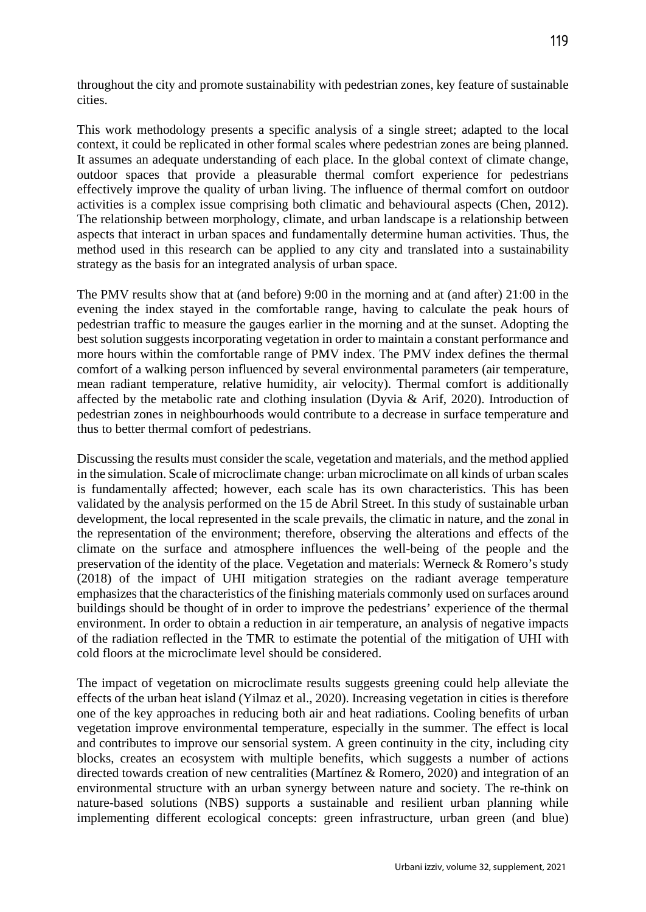throughout the city and promote sustainability with pedestrian zones, key feature of sustainable cities.

This work methodology presents a specific analysis of a single street; adapted to the local context, it could be replicated in other formal scales where pedestrian zones are being planned. It assumes an adequate understanding of each place. In the global context of climate change, outdoor spaces that provide a pleasurable thermal comfort experience for pedestrians effectively improve the quality of urban living. The influence of thermal comfort on outdoor activities is a complex issue comprising both climatic and behavioural aspects (Chen, 2012). The relationship between morphology, climate, and urban landscape is a relationship between aspects that interact in urban spaces and fundamentally determine human activities. Thus, the method used in this research can be applied to any city and translated into a sustainability strategy as the basis for an integrated analysis of urban space.

The PMV results show that at (and before) 9:00 in the morning and at (and after) 21:00 in the evening the index stayed in the comfortable range, having to calculate the peak hours of pedestrian traffic to measure the gauges earlier in the morning and at the sunset. Adopting the best solution suggests incorporating vegetation in order to maintain a constant performance and more hours within the comfortable range of PMV index. The PMV index defines the thermal comfort of a walking person influenced by several environmental parameters (air temperature, mean radiant temperature, relative humidity, air velocity). Thermal comfort is additionally affected by the metabolic rate and clothing insulation (Dyvia & Arif, 2020). Introduction of pedestrian zones in neighbourhoods would contribute to a decrease in surface temperature and thus to better thermal comfort of pedestrians.

Discussing the results must consider the scale, vegetation and materials, and the method applied in the simulation. Scale of microclimate change: urban microclimate on all kinds of urban scales is fundamentally affected; however, each scale has its own characteristics. This has been validated by the analysis performed on the 15 de Abril Street. In this study of sustainable urban development, the local represented in the scale prevails, the climatic in nature, and the zonal in the representation of the environment; therefore, observing the alterations and effects of the climate on the surface and atmosphere influences the well-being of the people and the preservation of the identity of the place. Vegetation and materials: Werneck & Romero's study (2018) of the impact of UHI mitigation strategies on the radiant average temperature emphasizes that the characteristics of the finishing materials commonly used on surfaces around buildings should be thought of in order to improve the pedestrians' experience of the thermal environment. In order to obtain a reduction in air temperature, an analysis of negative impacts of the radiation reflected in the TMR to estimate the potential of the mitigation of UHI with cold floors at the microclimate level should be considered.

The impact of vegetation on microclimate results suggests greening could help alleviate the effects of the urban heat island (Yilmaz et al., 2020). Increasing vegetation in cities is therefore one of the key approaches in reducing both air and heat radiations. Cooling benefits of urban vegetation improve environmental temperature, especially in the summer. The effect is local and contributes to improve our sensorial system. A green continuity in the city, including city blocks, creates an ecosystem with multiple benefits, which suggests a number of actions directed towards creation of new centralities (Martínez & Romero, 2020) and integration of an environmental structure with an urban synergy between nature and society. The re-think on nature-based solutions (NBS) supports a sustainable and resilient urban planning while implementing different ecological concepts: green infrastructure, urban green (and blue)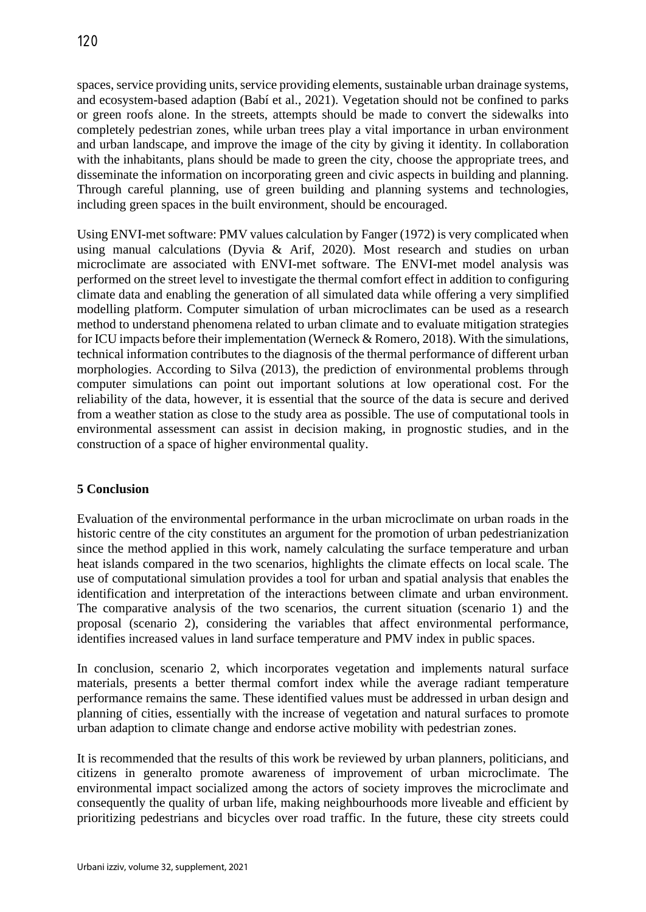spaces, service providing units, service providing elements, sustainable urban drainage systems, and ecosystem-based adaption (Babí et al., 2021). Vegetation should not be confined to parks or green roofs alone. In the streets, attempts should be made to convert the sidewalks into completely pedestrian zones, while urban trees play a vital importance in urban environment and urban landscape, and improve the image of the city by giving it identity. In collaboration with the inhabitants, plans should be made to green the city, choose the appropriate trees, and disseminate the information on incorporating green and civic aspects in building and planning. Through careful planning, use of green building and planning systems and technologies, including green spaces in the built environment, should be encouraged.

Using ENVI-met software: PMV values calculation by Fanger (1972) is very complicated when using manual calculations (Dyvia & Arif, 2020). Most research and studies on urban microclimate are associated with ENVI-met software. The ENVI-met model analysis was performed on the street level to investigate the thermal comfort effect in addition to configuring climate data and enabling the generation of all simulated data while offering a very simplified modelling platform. Computer simulation of urban microclimates can be used as a research method to understand phenomena related to urban climate and to evaluate mitigation strategies for ICU impacts before their implementation (Werneck & Romero, 2018). With the simulations, technical information contributes to the diagnosis of the thermal performance of different urban morphologies. According to Silva (2013), the prediction of environmental problems through computer simulations can point out important solutions at low operational cost. For the reliability of the data, however, it is essential that the source of the data is secure and derived from a weather station as close to the study area as possible. The use of computational tools in environmental assessment can assist in decision making, in prognostic studies, and in the construction of a space of higher environmental quality.

## **5 Conclusion**

Evaluation of the environmental performance in the urban microclimate on urban roads in the historic centre of the city constitutes an argument for the promotion of urban pedestrianization since the method applied in this work, namely calculating the surface temperature and urban heat islands compared in the two scenarios, highlights the climate effects on local scale. The use of computational simulation provides a tool for urban and spatial analysis that enables the identification and interpretation of the interactions between climate and urban environment. The comparative analysis of the two scenarios, the current situation (scenario 1) and the proposal (scenario 2), considering the variables that affect environmental performance, identifies increased values in land surface temperature and PMV index in public spaces.

In conclusion, scenario 2, which incorporates vegetation and implements natural surface materials, presents a better thermal comfort index while the average radiant temperature performance remains the same. These identified values must be addressed in urban design and planning of cities, essentially with the increase of vegetation and natural surfaces to promote urban adaption to climate change and endorse active mobility with pedestrian zones.

It is recommended that the results of this work be reviewed by urban planners, politicians, and citizens in generalto promote awareness of improvement of urban microclimate. The environmental impact socialized among the actors of society improves the microclimate and consequently the quality of urban life, making neighbourhoods more liveable and efficient by prioritizing pedestrians and bicycles over road traffic. In the future, these city streets could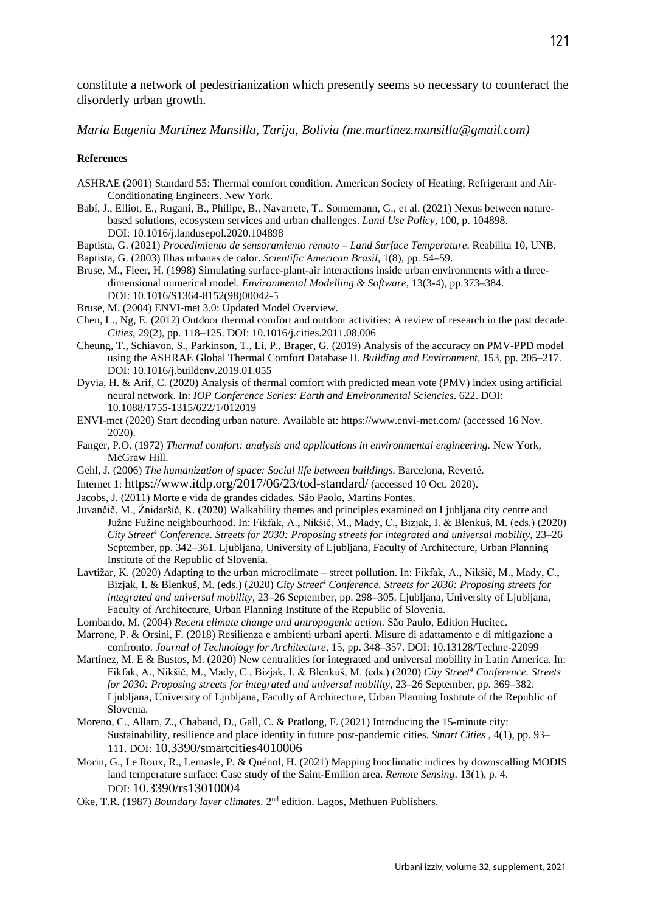constitute a network of pedestrianization which presently seems so necessary to counteract the disorderly urban growth.

*María Eugenia Martínez Mansilla, Tarija, Bolivia (me.martinez.mansilla@gmail.com)*

#### **References**

- ASHRAE (2001) Standard 55: Thermal comfort condition. American Society of Heating, Refrigerant and Air-Conditionating Engineers. New York.
- Babí, J., Elliot, E., Rugani, B., Philipe, B., Navarrete, T., Sonnemann, G., et al. (2021) Nexus between naturebased solutions, ecosystem services and urban challenges. *Land Use Policy*, 100, p. 104898. DOI: 10.1016/j.landusepol.2020.104898
- Baptista, G. (2021) *Procedimiento de sensoramiento remoto – Land Surface Temperature.* Reabilita 10, UNB.

Baptista, G. (2003) Ilhas urbanas de calor. *Scientific American Brasil*, 1(8), pp. 54–59.

- Bruse, M., Fleer, H. (1998) Simulating surface-plant-air interactions inside urban environments with a threedimensional numerical model. *Environmental Modelling & Software*, 13(3-4), pp.373–384. DOI: 10.1016/S1364-8152(98)00042-5
- Bruse, M. (2004) ENVI-met 3.0: Updated Model Overview.
- Chen, L., Ng, E. (2012) Outdoor thermal comfort and outdoor activities: A review of research in the past decade. *Cities*, 29(2), pp. 118–125. DOI: 10.1016/j.cities.2011.08.006
- Cheung, T., Schiavon, S., Parkinson, T., Li, P., Brager, G. (2019) Analysis of the accuracy on PMV-PPD model using the ASHRAE Global Thermal Comfort Database II. *Building and Environment*, 153, pp. 205–217. DOI: 10.1016/j.buildenv.2019.01.055
- Dyvia, H. & Arif, C. (2020) Analysis of thermal comfort with predicted mean vote (PMV) index using artificial neural network. In: *IOP Conference Series: Earth and Environmental Sciencies*. 622. DOI: 10.1088/1755-1315/622/1/012019
- ENVI-met (2020) Start decoding urban nature. Available at: https://www.envi-met.com/ (accessed 16 Nov. 2020).
- Fanger, P.O. (1972) *Thermal comfort: analysis and applications in environmental engineering.* New York, McGraw Hill.
- Gehl, J. (2006) *The humanization of space: Social life between buildings.* Barcelona, Reverté.
- Internet 1: https://www.itdp.org/2017/06/23/tod-standard/ (accessed 10 Oct. 2020).
- Jacobs, J. (2011) Morte e vida de grandes cidades*.* São Paolo, Martins Fontes.
- Juvančič, M., Žnidaršič, K. (2020) Walkability themes and principles examined on Ljubljana city centre and Južne Fužine neighbourhood. In: Fikfak, A., Nikšič, M., Mady, C., Bizjak, I. & Blenkuš, M. (eds.) (2020) *City Street4 Conference. Streets for 2030: Proposing streets for integrated and universal mobility,* 23–26 September, pp. 342–361. Ljubljana, University of Ljubljana, Faculty of Architecture, Urban Planning Institute of the Republic of Slovenia.
- Lavtižar, K. (2020) Adapting to the urban microclimate street pollution. In: Fikfak, A., Nikšič, M., Mady, C., Bizjak, I. & Blenkuš, M. (eds.) (2020) *City Street4 Conference. Streets for 2030: Proposing streets for integrated and universal mobility,* 23–26 September, pp. 298–305. Ljubljana, University of Ljubljana, Faculty of Architecture, Urban Planning Institute of the Republic of Slovenia.
- Lombardo, M. (2004) *Recent climate change and antropogenic action.* São Paulo, Edition Hucitec.
- Marrone, P. & Orsini, F. (2018) Resilienza e ambienti urbani aperti. Misure di adattamento e di mitigazione a confronto. *Journal of Technology for Architecture*, 15, pp. 348–357. DOI: 10.13128/Techne-22099
- Martínez, M. E & Bustos, M. (2020) New centralities for integrated and universal mobility in Latin America. In: Fikfak, A., Nikšič, M., Mady, C., Bizjak, I. & Blenkuš, M. (eds.) (2020) *City Street4 Conference. Streets for 2030: Proposing streets for integrated and universal mobility,* 23–26 September, pp. 369–382. Ljubljana, University of Ljubljana, Faculty of Architecture, Urban Planning Institute of the Republic of Slovenia.
- Moreno, C., Allam, Z., Chabaud, D., Gall, C. & Pratlong, F. (2021) Introducing the 15-minute city: Sustainability, resilience and place identity in future post-pandemic cities. *Smart Cities* , 4(1), pp. 93– 111. DOI: 10.3390/smartcities4010006
- Morin, G., Le Roux, R., Lemasle, P. & Quénol, H. (2021) Mapping bioclimatic indices by downscalling MODIS land temperature surface: Case study of the Saint-Emilion area. *Remote Sensing*. 13(1), p. 4. DOI: 10.3390/rs13010004
- Oke, T.R. (1987) *Boundary layer climates.* 2nd edition. Lagos, Methuen Publishers.